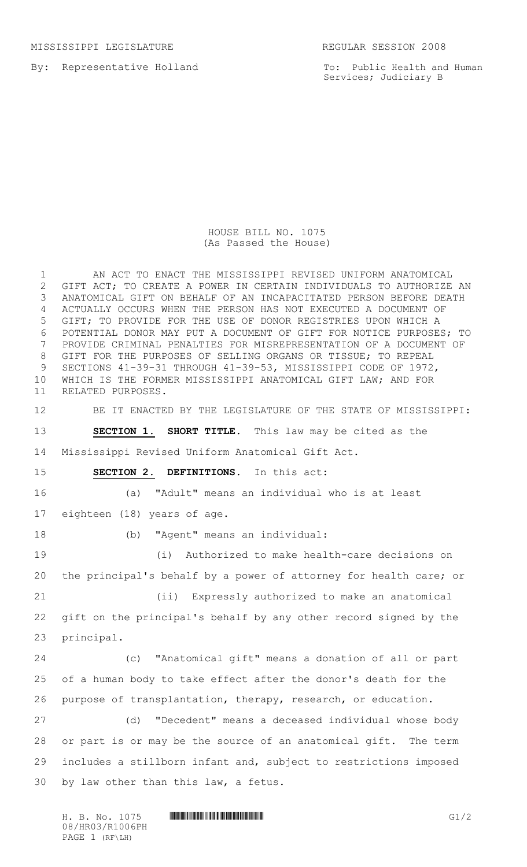MISSISSIPPI LEGISLATURE REGULAR SESSION 2008

By: Representative Holland

To: Public Health and Human Services; Judiciary B

HOUSE BILL NO. 1075 (As Passed the House)

 AN ACT TO ENACT THE MISSISSIPPI REVISED UNIFORM ANATOMICAL GIFT ACT; TO CREATE A POWER IN CERTAIN INDIVIDUALS TO AUTHORIZE AN ANATOMICAL GIFT ON BEHALF OF AN INCAPACITATED PERSON BEFORE DEATH ACTUALLY OCCURS WHEN THE PERSON HAS NOT EXECUTED A DOCUMENT OF GIFT; TO PROVIDE FOR THE USE OF DONOR REGISTRIES UPON WHICH A POTENTIAL DONOR MAY PUT A DOCUMENT OF GIFT FOR NOTICE PURPOSES; TO PROVIDE CRIMINAL PENALTIES FOR MISREPRESENTATION OF A DOCUMENT OF GIFT FOR THE PURPOSES OF SELLING ORGANS OR TISSUE; TO REPEAL SECTIONS 41-39-31 THROUGH 41-39-53, MISSISSIPPI CODE OF 1972, WHICH IS THE FORMER MISSISSIPPI ANATOMICAL GIFT LAW; AND FOR RELATED PURPOSES. BE IT ENACTED BY THE LEGISLATURE OF THE STATE OF MISSISSIPPI: **SECTION 1. SHORT TITLE.** This law may be cited as the Mississippi Revised Uniform Anatomical Gift Act. **SECTION 2. DEFINITIONS.** In this act: (a) "Adult" means an individual who is at least eighteen (18) years of age. (b) "Agent" means an individual: (i) Authorized to make health-care decisions on the principal's behalf by a power of attorney for health care; or (ii) Expressly authorized to make an anatomical gift on the principal's behalf by any other record signed by the principal. (c) "Anatomical gift" means a donation of all or part of a human body to take effect after the donor's death for the purpose of transplantation, therapy, research, or education. (d) "Decedent" means a deceased individual whose body or part is or may be the source of an anatomical gift. The term includes a stillborn infant and, subject to restrictions imposed by law other than this law, a fetus.

H. B. No. 1075 **HROBOTH HEMORE COMES AND SERVE SERVE SERVE SERVE SERVE SERVE SERVE SERVE SERVE SERVE SERVE SERVE SERVE SERVE SERVE SERVE SERVE SERVE SERVE SERVE SERVE SERVE SERVE SERVE SERVE SERVE SERVE SERVE SERVE SERVE S** 08/HR03/R1006PH PAGE 1 (RF\LH)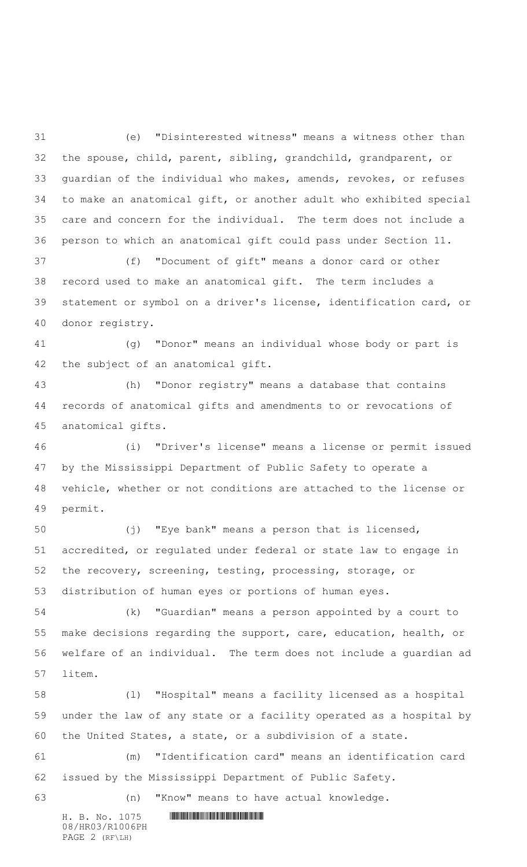(e) "Disinterested witness" means a witness other than the spouse, child, parent, sibling, grandchild, grandparent, or guardian of the individual who makes, amends, revokes, or refuses to make an anatomical gift, or another adult who exhibited special care and concern for the individual. The term does not include a person to which an anatomical gift could pass under Section 11.

 (f) "Document of gift" means a donor card or other record used to make an anatomical gift. The term includes a statement or symbol on a driver's license, identification card, or donor registry.

 (g) "Donor" means an individual whose body or part is the subject of an anatomical gift.

 (h) "Donor registry" means a database that contains records of anatomical gifts and amendments to or revocations of anatomical gifts.

 (i) "Driver's license" means a license or permit issued by the Mississippi Department of Public Safety to operate a vehicle, whether or not conditions are attached to the license or permit.

 (j) "Eye bank" means a person that is licensed, accredited, or regulated under federal or state law to engage in the recovery, screening, testing, processing, storage, or distribution of human eyes or portions of human eyes.

 (k) "Guardian" means a person appointed by a court to make decisions regarding the support, care, education, health, or welfare of an individual. The term does not include a guardian ad litem.

 (l) "Hospital" means a facility licensed as a hospital under the law of any state or a facility operated as a hospital by the United States, a state, or a subdivision of a state.

 (m) "Identification card" means an identification card issued by the Mississippi Department of Public Safety.

(n) "Know" means to have actual knowledge.

08/HR03/R1006PH PAGE 2 (RF\LH)

 $H. B. No. 1075$  . HINDING PHOTOGRAPH  $H. B. N \circ A$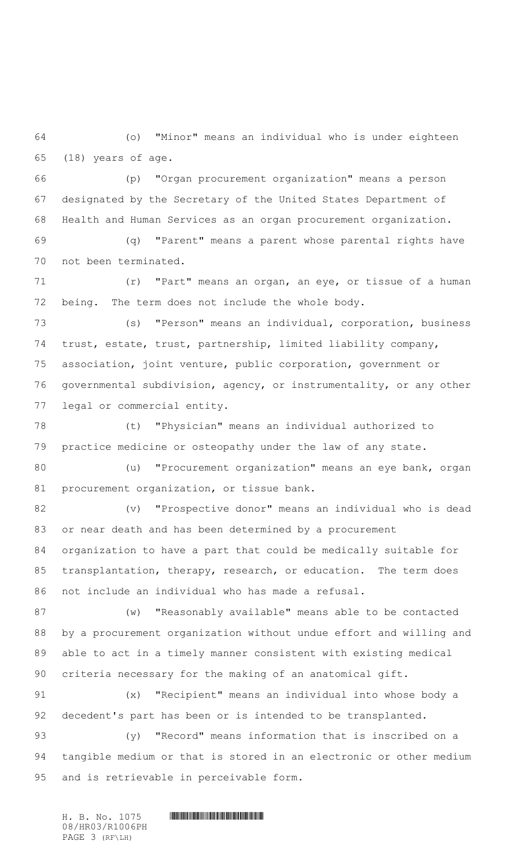(o) "Minor" means an individual who is under eighteen (18) years of age.

 (p) "Organ procurement organization" means a person designated by the Secretary of the United States Department of Health and Human Services as an organ procurement organization.

 (q) "Parent" means a parent whose parental rights have not been terminated.

 (r) "Part" means an organ, an eye, or tissue of a human being. The term does not include the whole body.

 (s) "Person" means an individual, corporation, business trust, estate, trust, partnership, limited liability company, association, joint venture, public corporation, government or governmental subdivision, agency, or instrumentality, or any other legal or commercial entity.

 (t) "Physician" means an individual authorized to practice medicine or osteopathy under the law of any state.

 (u) "Procurement organization" means an eye bank, organ 81 procurement organization, or tissue bank.

 (v) "Prospective donor" means an individual who is dead or near death and has been determined by a procurement organization to have a part that could be medically suitable for transplantation, therapy, research, or education. The term does not include an individual who has made a refusal.

 (w) "Reasonably available" means able to be contacted by a procurement organization without undue effort and willing and able to act in a timely manner consistent with existing medical criteria necessary for the making of an anatomical gift.

 (x) "Recipient" means an individual into whose body a decedent's part has been or is intended to be transplanted.

 (y) "Record" means information that is inscribed on a tangible medium or that is stored in an electronic or other medium and is retrievable in perceivable form.

 $H. B. No. 1075$  . HINDIAN ROSE INTERNATIONAL PROPERTY AND RELATED AT A set of  $H$ 08/HR03/R1006PH PAGE 3 (RF\LH)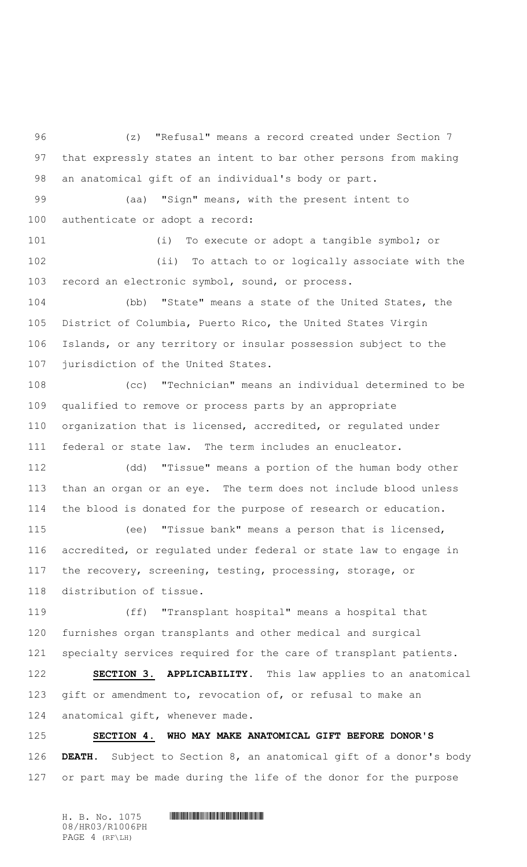(z) "Refusal" means a record created under Section 7 that expressly states an intent to bar other persons from making an anatomical gift of an individual's body or part.

 (aa) "Sign" means, with the present intent to authenticate or adopt a record:

 (i) To execute or adopt a tangible symbol; or (ii) To attach to or logically associate with the record an electronic symbol, sound, or process.

 (bb) "State" means a state of the United States, the District of Columbia, Puerto Rico, the United States Virgin Islands, or any territory or insular possession subject to the jurisdiction of the United States.

 (cc) "Technician" means an individual determined to be qualified to remove or process parts by an appropriate organization that is licensed, accredited, or regulated under federal or state law. The term includes an enucleator.

 (dd) "Tissue" means a portion of the human body other than an organ or an eye. The term does not include blood unless the blood is donated for the purpose of research or education.

 (ee) "Tissue bank" means a person that is licensed, accredited, or regulated under federal or state law to engage in the recovery, screening, testing, processing, storage, or distribution of tissue.

 (ff) "Transplant hospital" means a hospital that furnishes organ transplants and other medical and surgical specialty services required for the care of transplant patients.

 **SECTION 3. APPLICABILITY.** This law applies to an anatomical 123 gift or amendment to, revocation of, or refusal to make an anatomical gift, whenever made.

 **SECTION 4. WHO MAY MAKE ANATOMICAL GIFT BEFORE DONOR'S DEATH.** Subject to Section 8, an anatomical gift of a donor's body or part may be made during the life of the donor for the purpose

 $H. B. No. 1075$  **HENGING PHOTOGRAPH** 08/HR03/R1006PH PAGE 4 (RF\LH)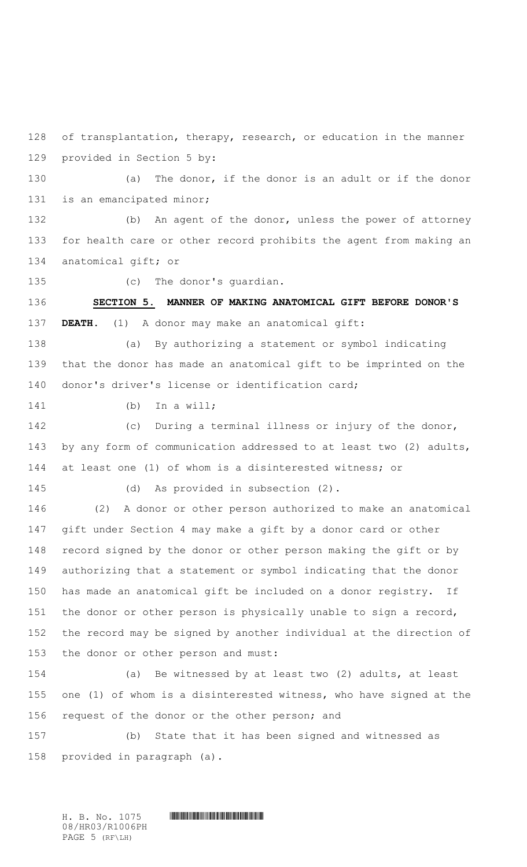of transplantation, therapy, research, or education in the manner provided in Section 5 by:

 (a) The donor, if the donor is an adult or if the donor is an emancipated minor;

 (b) An agent of the donor, unless the power of attorney for health care or other record prohibits the agent from making an anatomical gift; or

(c) The donor's guardian.

 **SECTION 5. MANNER OF MAKING ANATOMICAL GIFT BEFORE DONOR'S DEATH.** (1) A donor may make an anatomical gift:

 (a) By authorizing a statement or symbol indicating that the donor has made an anatomical gift to be imprinted on the donor's driver's license or identification card;

(b) In a will;

 (c) During a terminal illness or injury of the donor, by any form of communication addressed to at least two (2) adults, at least one (1) of whom is a disinterested witness; or

(d) As provided in subsection (2).

 (2) A donor or other person authorized to make an anatomical gift under Section 4 may make a gift by a donor card or other record signed by the donor or other person making the gift or by authorizing that a statement or symbol indicating that the donor has made an anatomical gift be included on a donor registry. If the donor or other person is physically unable to sign a record, the record may be signed by another individual at the direction of the donor or other person and must:

 (a) Be witnessed by at least two (2) adults, at least one (1) of whom is a disinterested witness, who have signed at the request of the donor or the other person; and

 (b) State that it has been signed and witnessed as provided in paragraph (a).

08/HR03/R1006PH PAGE 5 (RF\LH)

 $H. B. No. 1075$  **HENGING PHOTOGRAPH**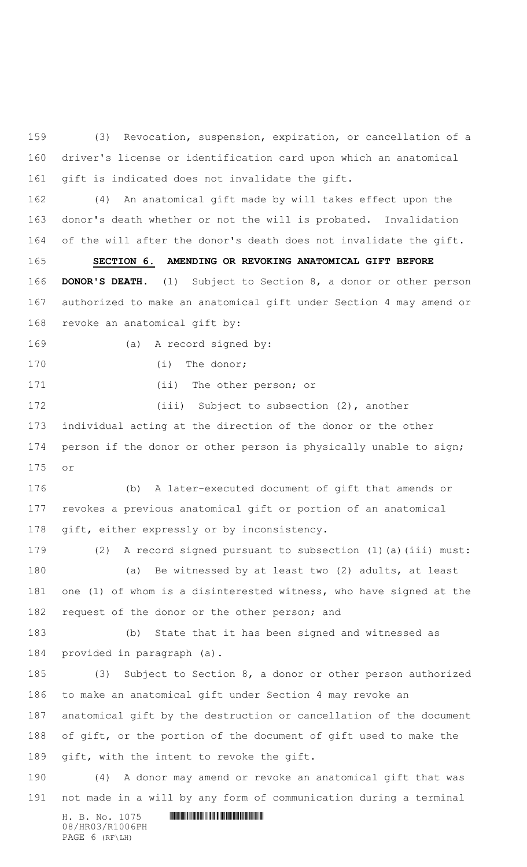(3) Revocation, suspension, expiration, or cancellation of a driver's license or identification card upon which an anatomical gift is indicated does not invalidate the gift.

 (4) An anatomical gift made by will takes effect upon the donor's death whether or not the will is probated. Invalidation of the will after the donor's death does not invalidate the gift.

 **SECTION 6. AMENDING OR REVOKING ANATOMICAL GIFT BEFORE DONOR'S DEATH.** (1) Subject to Section 8, a donor or other person authorized to make an anatomical gift under Section 4 may amend or revoke an anatomical gift by:

(a) A record signed by:

170 (i) The donor;

171 (ii) The other person; or

172 (iii) Subject to subsection (2), another individual acting at the direction of the donor or the other person if the donor or other person is physically unable to sign; or

 (b) A later-executed document of gift that amends or revokes a previous anatomical gift or portion of an anatomical gift, either expressly or by inconsistency.

 (2) A record signed pursuant to subsection (1)(a)(iii) must: (a) Be witnessed by at least two (2) adults, at least one (1) of whom is a disinterested witness, who have signed at the 182 request of the donor or the other person; and

 (b) State that it has been signed and witnessed as provided in paragraph (a).

 (3) Subject to Section 8, a donor or other person authorized to make an anatomical gift under Section 4 may revoke an anatomical gift by the destruction or cancellation of the document of gift, or the portion of the document of gift used to make the gift, with the intent to revoke the gift.

 (4) A donor may amend or revoke an anatomical gift that was not made in a will by any form of communication during a terminal

 $H. B. No. 1075$  . HIRD FOR ANY REPORT OF A SET OF A SET OF A SET OF A SET OF A SET OF A SET OF A SET OF A SET OF A SET OF A SET OF A SET OF A SET OF A SET OF A SET OF A SET OF A SET OF A SET OF A SET OF A SET OF A SET OF A 08/HR03/R1006PH PAGE 6 (RF\LH)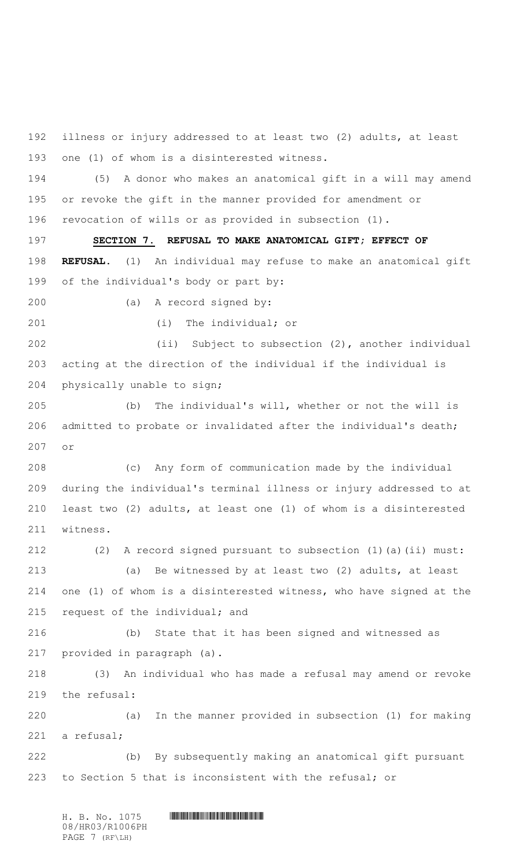illness or injury addressed to at least two (2) adults, at least one (1) of whom is a disinterested witness.

 (5) A donor who makes an anatomical gift in a will may amend or revoke the gift in the manner provided for amendment or revocation of wills or as provided in subsection (1).

 **SECTION 7. REFUSAL TO MAKE ANATOMICAL GIFT; EFFECT OF REFUSAL.** (1) An individual may refuse to make an anatomical gift of the individual's body or part by:

(a) A record signed by:

(i) The individual; or

 (ii) Subject to subsection (2), another individual acting at the direction of the individual if the individual is physically unable to sign;

 (b) The individual's will, whether or not the will is admitted to probate or invalidated after the individual's death; or

 (c) Any form of communication made by the individual during the individual's terminal illness or injury addressed to at least two (2) adults, at least one (1) of whom is a disinterested witness.

 (2) A record signed pursuant to subsection (1)(a)(ii) must: (a) Be witnessed by at least two (2) adults, at least one (1) of whom is a disinterested witness, who have signed at the request of the individual; and

 (b) State that it has been signed and witnessed as provided in paragraph (a).

 (3) An individual who has made a refusal may amend or revoke the refusal:

 (a) In the manner provided in subsection (1) for making a refusal;

 (b) By subsequently making an anatomical gift pursuant to Section 5 that is inconsistent with the refusal; or

 $H. B. No. 1075$  **HENGING PHOTOGRAPH** 08/HR03/R1006PH PAGE 7 (RF\LH)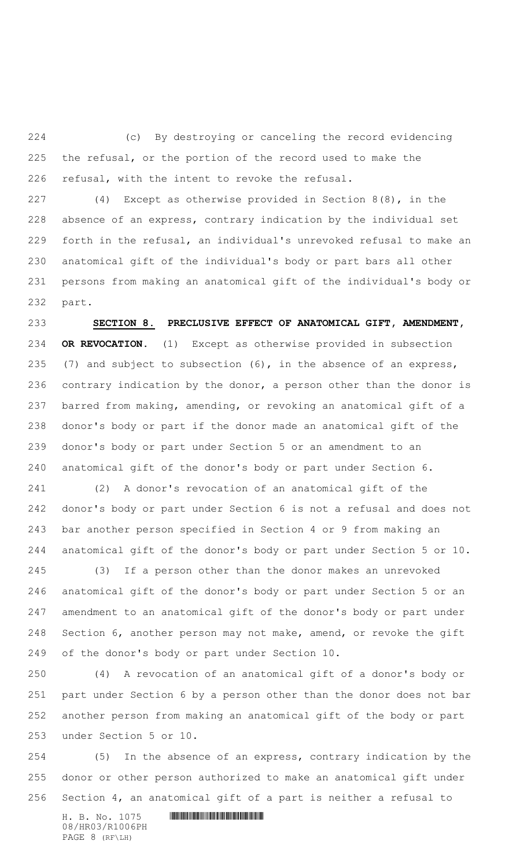(c) By destroying or canceling the record evidencing the refusal, or the portion of the record used to make the refusal, with the intent to revoke the refusal.

 (4) Except as otherwise provided in Section 8(8), in the absence of an express, contrary indication by the individual set forth in the refusal, an individual's unrevoked refusal to make an anatomical gift of the individual's body or part bars all other persons from making an anatomical gift of the individual's body or part.

 **SECTION 8. PRECLUSIVE EFFECT OF ANATOMICAL GIFT, AMENDMENT, OR REVOCATION.** (1) Except as otherwise provided in subsection (7) and subject to subsection (6), in the absence of an express, contrary indication by the donor, a person other than the donor is barred from making, amending, or revoking an anatomical gift of a donor's body or part if the donor made an anatomical gift of the donor's body or part under Section 5 or an amendment to an anatomical gift of the donor's body or part under Section 6.

 (2) A donor's revocation of an anatomical gift of the donor's body or part under Section 6 is not a refusal and does not bar another person specified in Section 4 or 9 from making an anatomical gift of the donor's body or part under Section 5 or 10.

 (3) If a person other than the donor makes an unrevoked anatomical gift of the donor's body or part under Section 5 or an amendment to an anatomical gift of the donor's body or part under Section 6, another person may not make, amend, or revoke the gift of the donor's body or part under Section 10.

 (4) A revocation of an anatomical gift of a donor's body or part under Section 6 by a person other than the donor does not bar another person from making an anatomical gift of the body or part under Section 5 or 10.

 (5) In the absence of an express, contrary indication by the donor or other person authorized to make an anatomical gift under Section 4, an anatomical gift of a part is neither a refusal to

 $H. B. No. 1075$  . HINDING PHOTOGRAPH  $H. B. N \circ A$ 08/HR03/R1006PH PAGE 8 (RF\LH)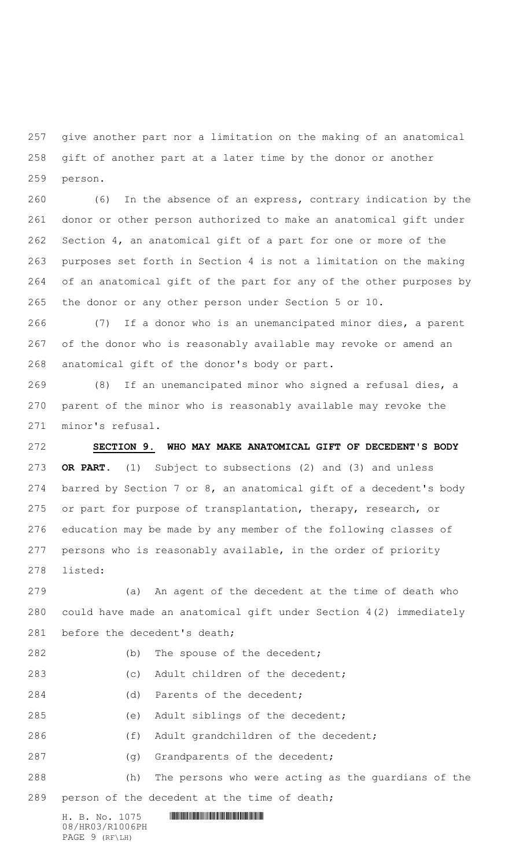give another part nor a limitation on the making of an anatomical gift of another part at a later time by the donor or another person.

 (6) In the absence of an express, contrary indication by the donor or other person authorized to make an anatomical gift under Section 4, an anatomical gift of a part for one or more of the purposes set forth in Section 4 is not a limitation on the making of an anatomical gift of the part for any of the other purposes by the donor or any other person under Section 5 or 10.

 (7) If a donor who is an unemancipated minor dies, a parent of the donor who is reasonably available may revoke or amend an anatomical gift of the donor's body or part.

 (8) If an unemancipated minor who signed a refusal dies, a parent of the minor who is reasonably available may revoke the minor's refusal.

 **SECTION 9. WHO MAY MAKE ANATOMICAL GIFT OF DECEDENT'S BODY OR PART.** (1) Subject to subsections (2) and (3) and unless barred by Section 7 or 8, an anatomical gift of a decedent's body or part for purpose of transplantation, therapy, research, or education may be made by any member of the following classes of persons who is reasonably available, in the order of priority listed:

 (a) An agent of the decedent at the time of death who could have made an anatomical gift under Section 4(2) immediately 281 before the decedent's death;

 $H. B. No. 1075$  **HENGING PHOTOGRAPH** 08/HR03/R1006PH PAGE 9 (RF\LH) 282 (b) The spouse of the decedent; (c) Adult children of the decedent; (d) Parents of the decedent; (e) Adult siblings of the decedent; (f) Adult grandchildren of the decedent; 287 (g) Grandparents of the decedent; (h) The persons who were acting as the guardians of the person of the decedent at the time of death;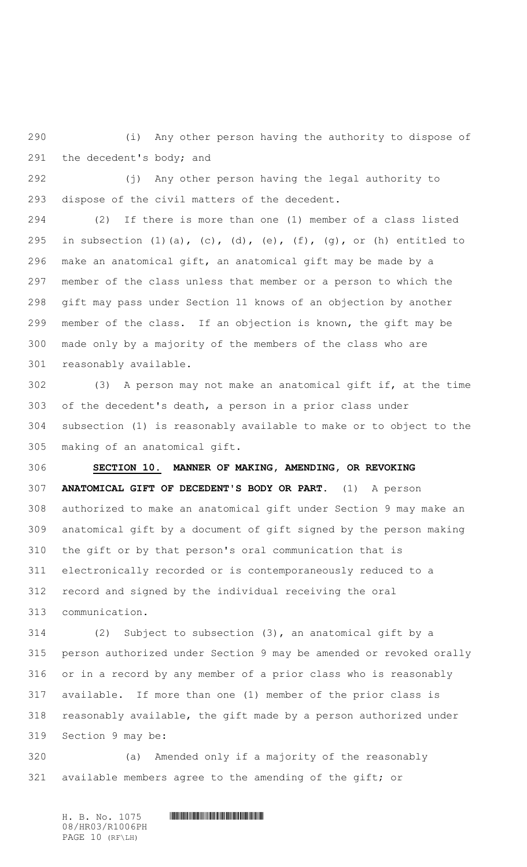(i) Any other person having the authority to dispose of the decedent's body; and

 (j) Any other person having the legal authority to dispose of the civil matters of the decedent.

 (2) If there is more than one (1) member of a class listed 295 in subsection  $(1)$   $(a)$ ,  $(c)$ ,  $(d)$ ,  $(e)$ ,  $(f)$ ,  $(g)$ , or  $(h)$  entitled to make an anatomical gift, an anatomical gift may be made by a member of the class unless that member or a person to which the gift may pass under Section 11 knows of an objection by another member of the class. If an objection is known, the gift may be made only by a majority of the members of the class who are reasonably available.

 (3) A person may not make an anatomical gift if, at the time of the decedent's death, a person in a prior class under subsection (1) is reasonably available to make or to object to the making of an anatomical gift.

 **SECTION 10. MANNER OF MAKING, AMENDING, OR REVOKING ANATOMICAL GIFT OF DECEDENT'S BODY OR PART.** (1) A person authorized to make an anatomical gift under Section 9 may make an anatomical gift by a document of gift signed by the person making the gift or by that person's oral communication that is electronically recorded or is contemporaneously reduced to a record and signed by the individual receiving the oral communication.

 (2) Subject to subsection (3), an anatomical gift by a person authorized under Section 9 may be amended or revoked orally or in a record by any member of a prior class who is reasonably available. If more than one (1) member of the prior class is reasonably available, the gift made by a person authorized under Section 9 may be:

 (a) Amended only if a majority of the reasonably available members agree to the amending of the gift; or

 $H. B. No. 1075$  **HENGING PHOTOGRAPH** 08/HR03/R1006PH PAGE 10 (RF\LH)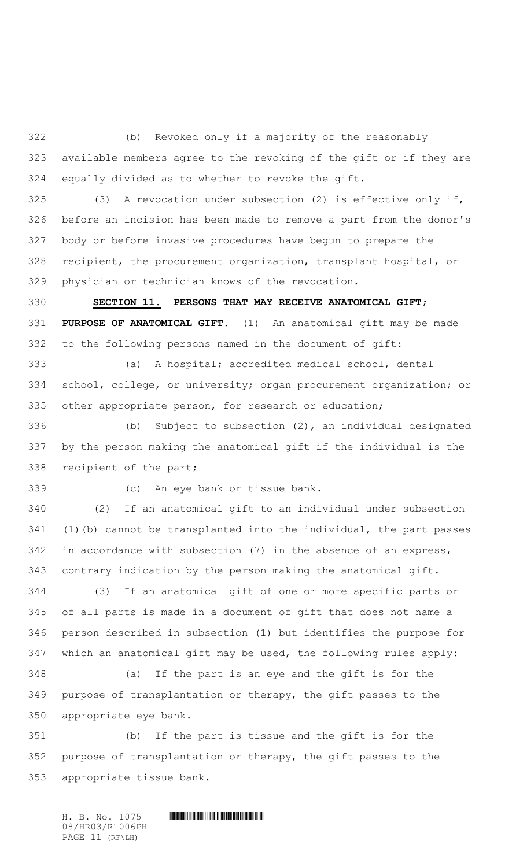(b) Revoked only if a majority of the reasonably available members agree to the revoking of the gift or if they are equally divided as to whether to revoke the gift.

 (3) A revocation under subsection (2) is effective only if, before an incision has been made to remove a part from the donor's body or before invasive procedures have begun to prepare the recipient, the procurement organization, transplant hospital, or physician or technician knows of the revocation.

 **SECTION 11. PERSONS THAT MAY RECEIVE ANATOMICAL GIFT; PURPOSE OF ANATOMICAL GIFT.** (1) An anatomical gift may be made to the following persons named in the document of gift:

 (a) A hospital; accredited medical school, dental school, college, or university; organ procurement organization; or other appropriate person, for research or education;

 (b) Subject to subsection (2), an individual designated by the person making the anatomical gift if the individual is the recipient of the part;

(c) An eye bank or tissue bank.

 (2) If an anatomical gift to an individual under subsection (1)(b) cannot be transplanted into the individual, the part passes in accordance with subsection (7) in the absence of an express, contrary indication by the person making the anatomical gift.

 (3) If an anatomical gift of one or more specific parts or of all parts is made in a document of gift that does not name a person described in subsection (1) but identifies the purpose for which an anatomical gift may be used, the following rules apply:

 (a) If the part is an eye and the gift is for the purpose of transplantation or therapy, the gift passes to the appropriate eye bank.

 (b) If the part is tissue and the gift is for the purpose of transplantation or therapy, the gift passes to the appropriate tissue bank.

 $H. B. No. 1075$  **HENGING PHOTOGRAPH** 08/HR03/R1006PH PAGE 11 (RF\LH)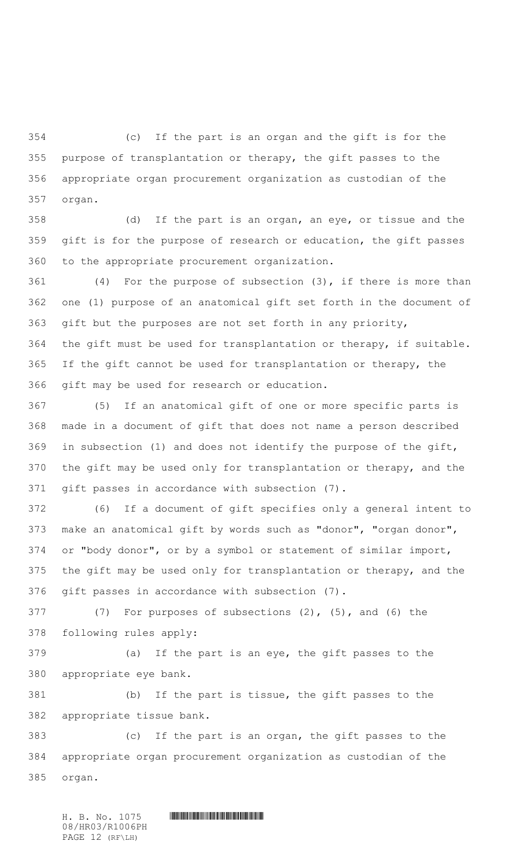(c) If the part is an organ and the gift is for the purpose of transplantation or therapy, the gift passes to the appropriate organ procurement organization as custodian of the organ.

 (d) If the part is an organ, an eye, or tissue and the gift is for the purpose of research or education, the gift passes to the appropriate procurement organization.

 (4) For the purpose of subsection (3), if there is more than one (1) purpose of an anatomical gift set forth in the document of gift but the purposes are not set forth in any priority, the gift must be used for transplantation or therapy, if suitable. If the gift cannot be used for transplantation or therapy, the gift may be used for research or education.

 (5) If an anatomical gift of one or more specific parts is made in a document of gift that does not name a person described in subsection (1) and does not identify the purpose of the gift, the gift may be used only for transplantation or therapy, and the gift passes in accordance with subsection (7).

 (6) If a document of gift specifies only a general intent to make an anatomical gift by words such as "donor", "organ donor", or "body donor", or by a symbol or statement of similar import, the gift may be used only for transplantation or therapy, and the gift passes in accordance with subsection (7).

 (7) For purposes of subsections (2), (5), and (6) the following rules apply:

 (a) If the part is an eye, the gift passes to the appropriate eye bank.

 (b) If the part is tissue, the gift passes to the appropriate tissue bank.

 (c) If the part is an organ, the gift passes to the appropriate organ procurement organization as custodian of the organ.

 $H. B. No. 1075$  **HENGING PHOTOGRAPH** 08/HR03/R1006PH PAGE 12 (RF\LH)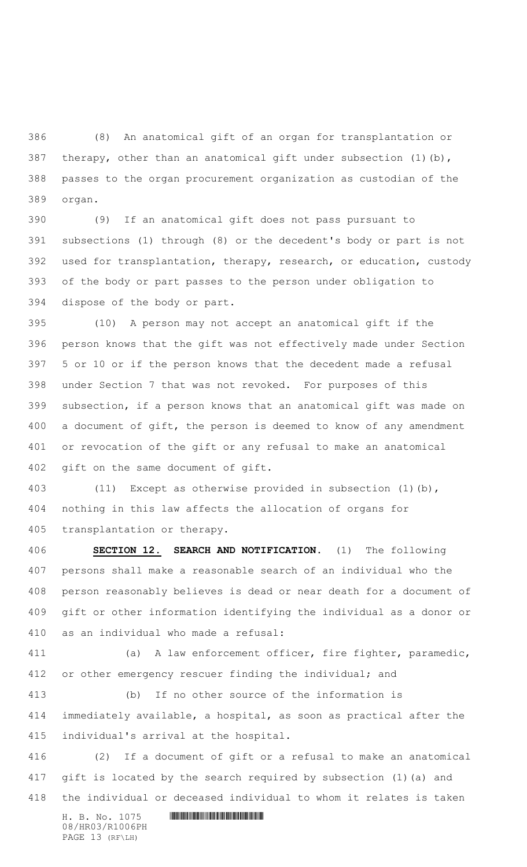(8) An anatomical gift of an organ for transplantation or therapy, other than an anatomical gift under subsection (1)(b), passes to the organ procurement organization as custodian of the organ.

 (9) If an anatomical gift does not pass pursuant to subsections (1) through (8) or the decedent's body or part is not used for transplantation, therapy, research, or education, custody of the body or part passes to the person under obligation to dispose of the body or part.

 (10) A person may not accept an anatomical gift if the person knows that the gift was not effectively made under Section 5 or 10 or if the person knows that the decedent made a refusal under Section 7 that was not revoked. For purposes of this subsection, if a person knows that an anatomical gift was made on a document of gift, the person is deemed to know of any amendment or revocation of the gift or any refusal to make an anatomical gift on the same document of gift.

 (11) Except as otherwise provided in subsection (1)(b), nothing in this law affects the allocation of organs for transplantation or therapy.

 **SECTION 12. SEARCH AND NOTIFICATION.** (1) The following persons shall make a reasonable search of an individual who the person reasonably believes is dead or near death for a document of gift or other information identifying the individual as a donor or as an individual who made a refusal:

 (a) A law enforcement officer, fire fighter, paramedic, 412 or other emergency rescuer finding the individual; and

 (b) If no other source of the information is immediately available, a hospital, as soon as practical after the individual's arrival at the hospital.

 (2) If a document of gift or a refusal to make an anatomical gift is located by the search required by subsection (1)(a) and the individual or deceased individual to whom it relates is taken

08/HR03/R1006PH PAGE 13 (RF\LH)

 $H. B. No. 1075$  . HINDIAN ROSE INTERNATIONAL PROPERTY AND RELATED AT A set of  $H$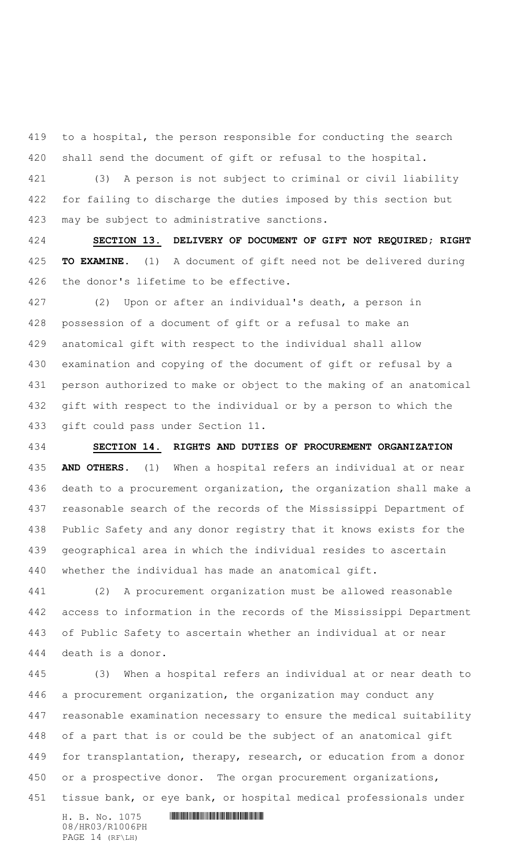to a hospital, the person responsible for conducting the search shall send the document of gift or refusal to the hospital.

 (3) A person is not subject to criminal or civil liability for failing to discharge the duties imposed by this section but may be subject to administrative sanctions.

 **SECTION 13. DELIVERY OF DOCUMENT OF GIFT NOT REQUIRED; RIGHT TO EXAMINE.** (1) A document of gift need not be delivered during the donor's lifetime to be effective.

 (2) Upon or after an individual's death, a person in possession of a document of gift or a refusal to make an anatomical gift with respect to the individual shall allow examination and copying of the document of gift or refusal by a person authorized to make or object to the making of an anatomical gift with respect to the individual or by a person to which the gift could pass under Section 11.

 **SECTION 14. RIGHTS AND DUTIES OF PROCUREMENT ORGANIZATION AND OTHERS.** (1) When a hospital refers an individual at or near death to a procurement organization, the organization shall make a reasonable search of the records of the Mississippi Department of Public Safety and any donor registry that it knows exists for the geographical area in which the individual resides to ascertain whether the individual has made an anatomical gift.

 (2) A procurement organization must be allowed reasonable access to information in the records of the Mississippi Department of Public Safety to ascertain whether an individual at or near death is a donor.

 (3) When a hospital refers an individual at or near death to a procurement organization, the organization may conduct any reasonable examination necessary to ensure the medical suitability of a part that is or could be the subject of an anatomical gift 449 for transplantation, therapy, research, or education from a donor 450 or a prospective donor. The organ procurement organizations, tissue bank, or eye bank, or hospital medical professionals under

 $H. B. No. 1075$  . HINDING PHOTOGRAPH  $H. B. N \circ A$ 08/HR03/R1006PH PAGE 14 (RF\LH)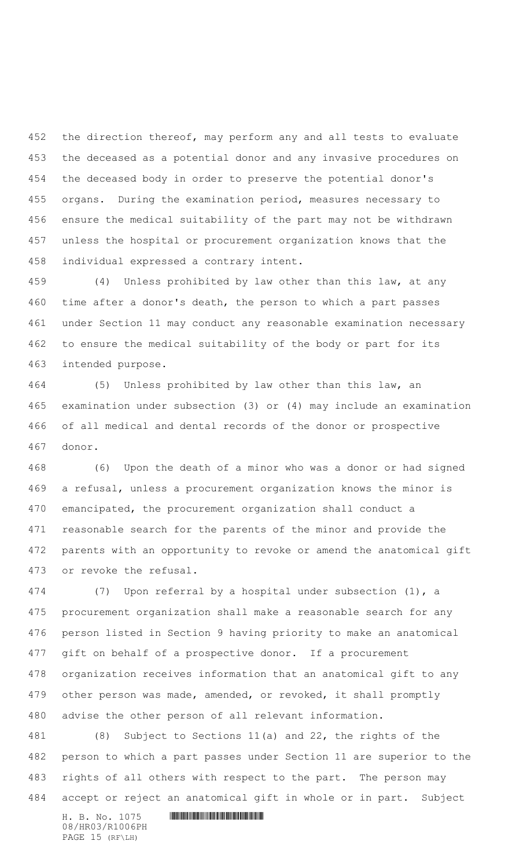452 the direction thereof, may perform any and all tests to evaluate the deceased as a potential donor and any invasive procedures on the deceased body in order to preserve the potential donor's organs. During the examination period, measures necessary to ensure the medical suitability of the part may not be withdrawn unless the hospital or procurement organization knows that the individual expressed a contrary intent.

 (4) Unless prohibited by law other than this law, at any time after a donor's death, the person to which a part passes under Section 11 may conduct any reasonable examination necessary to ensure the medical suitability of the body or part for its intended purpose.

 (5) Unless prohibited by law other than this law, an examination under subsection (3) or (4) may include an examination of all medical and dental records of the donor or prospective donor.

 (6) Upon the death of a minor who was a donor or had signed a refusal, unless a procurement organization knows the minor is emancipated, the procurement organization shall conduct a reasonable search for the parents of the minor and provide the parents with an opportunity to revoke or amend the anatomical gift or revoke the refusal.

 (7) Upon referral by a hospital under subsection (1), a procurement organization shall make a reasonable search for any person listed in Section 9 having priority to make an anatomical gift on behalf of a prospective donor. If a procurement organization receives information that an anatomical gift to any other person was made, amended, or revoked, it shall promptly advise the other person of all relevant information.

 (8) Subject to Sections 11(a) and 22, the rights of the person to which a part passes under Section 11 are superior to the rights of all others with respect to the part. The person may accept or reject an anatomical gift in whole or in part. Subject

 $H. B. No. 1075$  . HINDIAN ROSE INTERNATIONAL PROPERTY AND RELATED AT A set of  $H$ 08/HR03/R1006PH PAGE 15 (RF\LH)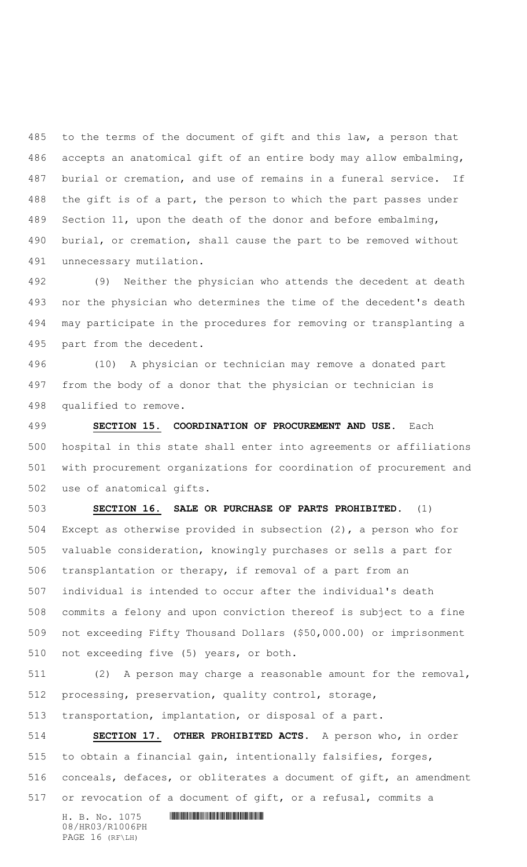to the terms of the document of gift and this law, a person that accepts an anatomical gift of an entire body may allow embalming, burial or cremation, and use of remains in a funeral service. If the gift is of a part, the person to which the part passes under Section 11, upon the death of the donor and before embalming, burial, or cremation, shall cause the part to be removed without unnecessary mutilation.

 (9) Neither the physician who attends the decedent at death nor the physician who determines the time of the decedent's death may participate in the procedures for removing or transplanting a part from the decedent.

 (10) A physician or technician may remove a donated part from the body of a donor that the physician or technician is qualified to remove.

 **SECTION 15. COORDINATION OF PROCUREMENT AND USE.** Each hospital in this state shall enter into agreements or affiliations with procurement organizations for coordination of procurement and use of anatomical gifts.

 **SECTION 16. SALE OR PURCHASE OF PARTS PROHIBITED.** (1) Except as otherwise provided in subsection (2), a person who for valuable consideration, knowingly purchases or sells a part for transplantation or therapy, if removal of a part from an individual is intended to occur after the individual's death commits a felony and upon conviction thereof is subject to a fine not exceeding Fifty Thousand Dollars (\$50,000.00) or imprisonment not exceeding five (5) years, or both.

 (2) A person may charge a reasonable amount for the removal, processing, preservation, quality control, storage,

transportation, implantation, or disposal of a part.

 **SECTION 17. OTHER PROHIBITED ACTS.** A person who, in order to obtain a financial gain, intentionally falsifies, forges, conceals, defaces, or obliterates a document of gift, an amendment or revocation of a document of gift, or a refusal, commits a

 $H. B. No. 1075$  . HINDING PHOTOGRAPH  $H. B. N \circ A$ 08/HR03/R1006PH PAGE 16 (RF\LH)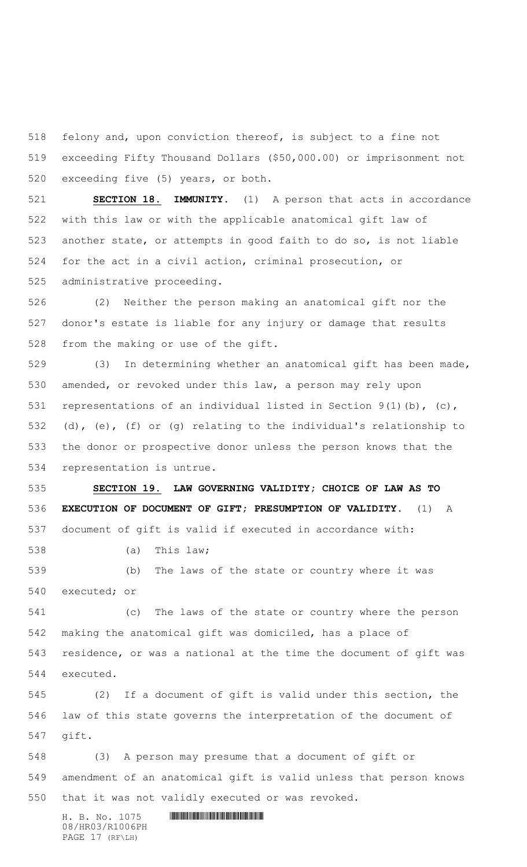felony and, upon conviction thereof, is subject to a fine not exceeding Fifty Thousand Dollars (\$50,000.00) or imprisonment not exceeding five (5) years, or both.

 **SECTION 18. IMMUNITY.** (1) A person that acts in accordance with this law or with the applicable anatomical gift law of another state, or attempts in good faith to do so, is not liable for the act in a civil action, criminal prosecution, or administrative proceeding.

 (2) Neither the person making an anatomical gift nor the donor's estate is liable for any injury or damage that results from the making or use of the gift.

 (3) In determining whether an anatomical gift has been made, amended, or revoked under this law, a person may rely upon representations of an individual listed in Section 9(1)(b), (c), (d), (e), (f) or (g) relating to the individual's relationship to the donor or prospective donor unless the person knows that the representation is untrue.

 **SECTION 19. LAW GOVERNING VALIDITY; CHOICE OF LAW AS TO EXECUTION OF DOCUMENT OF GIFT; PRESUMPTION OF VALIDITY.** (1) A document of gift is valid if executed in accordance with:

(a) This law;

 (b) The laws of the state or country where it was executed; or

 (c) The laws of the state or country where the person making the anatomical gift was domiciled, has a place of residence, or was a national at the time the document of gift was executed.

 (2) If a document of gift is valid under this section, the law of this state governs the interpretation of the document of gift.

 (3) A person may presume that a document of gift or amendment of an anatomical gift is valid unless that person knows that it was not validly executed or was revoked.

08/HR03/R1006PH PAGE 17 (RF\LH)

 $H. B. No. 1075$  . HINDING PHOTOGRAPH  $H. B. N \circ A$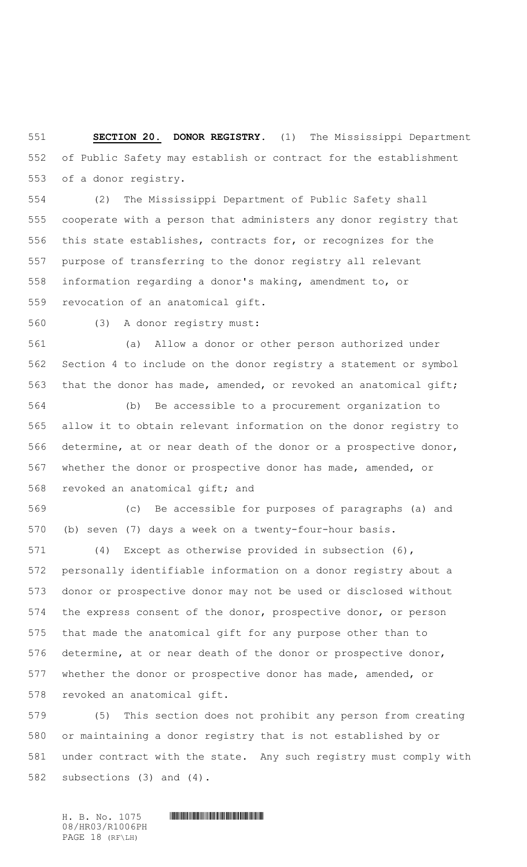**SECTION 20. DONOR REGISTRY.** (1) The Mississippi Department of Public Safety may establish or contract for the establishment of a donor registry.

 (2) The Mississippi Department of Public Safety shall cooperate with a person that administers any donor registry that this state establishes, contracts for, or recognizes for the purpose of transferring to the donor registry all relevant information regarding a donor's making, amendment to, or revocation of an anatomical gift.

(3) A donor registry must:

 (a) Allow a donor or other person authorized under Section 4 to include on the donor registry a statement or symbol 563 that the donor has made, amended, or revoked an anatomical gift;

 (b) Be accessible to a procurement organization to allow it to obtain relevant information on the donor registry to determine, at or near death of the donor or a prospective donor, whether the donor or prospective donor has made, amended, or revoked an anatomical gift; and

 (c) Be accessible for purposes of paragraphs (a) and (b) seven (7) days a week on a twenty-four-hour basis.

 (4) Except as otherwise provided in subsection (6), personally identifiable information on a donor registry about a donor or prospective donor may not be used or disclosed without the express consent of the donor, prospective donor, or person that made the anatomical gift for any purpose other than to determine, at or near death of the donor or prospective donor, whether the donor or prospective donor has made, amended, or revoked an anatomical gift.

 (5) This section does not prohibit any person from creating or maintaining a donor registry that is not established by or under contract with the state. Any such registry must comply with subsections (3) and (4).

08/HR03/R1006PH PAGE 18 (RF\LH)

## $H. B. No. 1075$  **HENGING PHOTOGRAPH**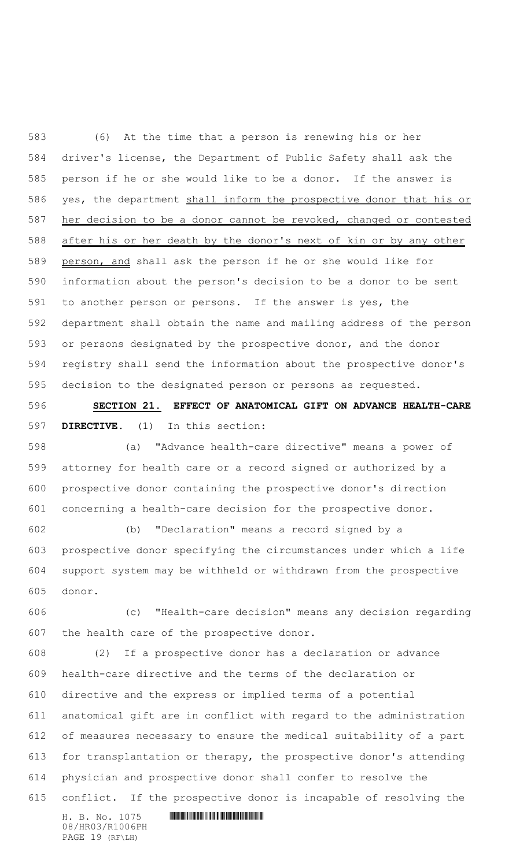(6) At the time that a person is renewing his or her driver's license, the Department of Public Safety shall ask the person if he or she would like to be a donor. If the answer is 586 yes, the department shall inform the prospective donor that his or her decision to be a donor cannot be revoked, changed or contested after his or her death by the donor's next of kin or by any other person, and shall ask the person if he or she would like for information about the person's decision to be a donor to be sent to another person or persons. If the answer is yes, the department shall obtain the name and mailing address of the person or persons designated by the prospective donor, and the donor registry shall send the information about the prospective donor's decision to the designated person or persons as requested.

 **SECTION 21. EFFECT OF ANATOMICAL GIFT ON ADVANCE HEALTH-CARE DIRECTIVE.** (1) In this section:

 (a) "Advance health-care directive" means a power of attorney for health care or a record signed or authorized by a prospective donor containing the prospective donor's direction concerning a health-care decision for the prospective donor.

 (b) "Declaration" means a record signed by a prospective donor specifying the circumstances under which a life support system may be withheld or withdrawn from the prospective donor.

 (c) "Health-care decision" means any decision regarding the health care of the prospective donor.

 (2) If a prospective donor has a declaration or advance health-care directive and the terms of the declaration or directive and the express or implied terms of a potential anatomical gift are in conflict with regard to the administration of measures necessary to ensure the medical suitability of a part for transplantation or therapy, the prospective donor's attending physician and prospective donor shall confer to resolve the conflict. If the prospective donor is incapable of resolving the

 $H. B. No. 1075$  . HINDING PHOTOGRAPH  $H. B. N \circ A$ 08/HR03/R1006PH PAGE 19 (RF\LH)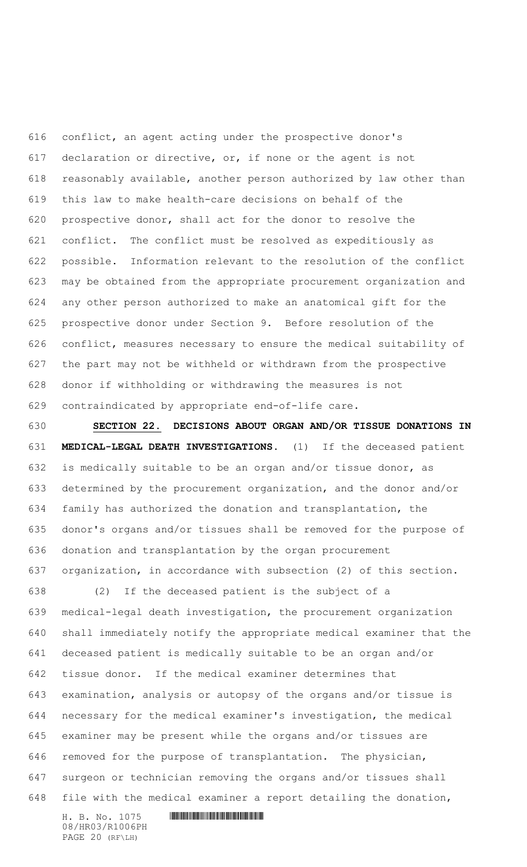conflict, an agent acting under the prospective donor's declaration or directive, or, if none or the agent is not reasonably available, another person authorized by law other than this law to make health-care decisions on behalf of the prospective donor, shall act for the donor to resolve the conflict. The conflict must be resolved as expeditiously as possible. Information relevant to the resolution of the conflict may be obtained from the appropriate procurement organization and any other person authorized to make an anatomical gift for the prospective donor under Section 9. Before resolution of the conflict, measures necessary to ensure the medical suitability of the part may not be withheld or withdrawn from the prospective donor if withholding or withdrawing the measures is not contraindicated by appropriate end-of-life care.

 **SECTION 22. DECISIONS ABOUT ORGAN AND/OR TISSUE DONATIONS IN MEDICAL-LEGAL DEATH INVESTIGATIONS.** (1) If the deceased patient is medically suitable to be an organ and/or tissue donor, as determined by the procurement organization, and the donor and/or family has authorized the donation and transplantation, the donor's organs and/or tissues shall be removed for the purpose of donation and transplantation by the organ procurement organization, in accordance with subsection (2) of this section.

 (2) If the deceased patient is the subject of a medical-legal death investigation, the procurement organization shall immediately notify the appropriate medical examiner that the deceased patient is medically suitable to be an organ and/or tissue donor. If the medical examiner determines that examination, analysis or autopsy of the organs and/or tissue is necessary for the medical examiner's investigation, the medical examiner may be present while the organs and/or tissues are removed for the purpose of transplantation. The physician, surgeon or technician removing the organs and/or tissues shall file with the medical examiner a report detailing the donation,

 $H. B. No. 1075$  . HINDING PHOTOGRAPH  $H. B. N \circ A$ 08/HR03/R1006PH PAGE 20 (RF\LH)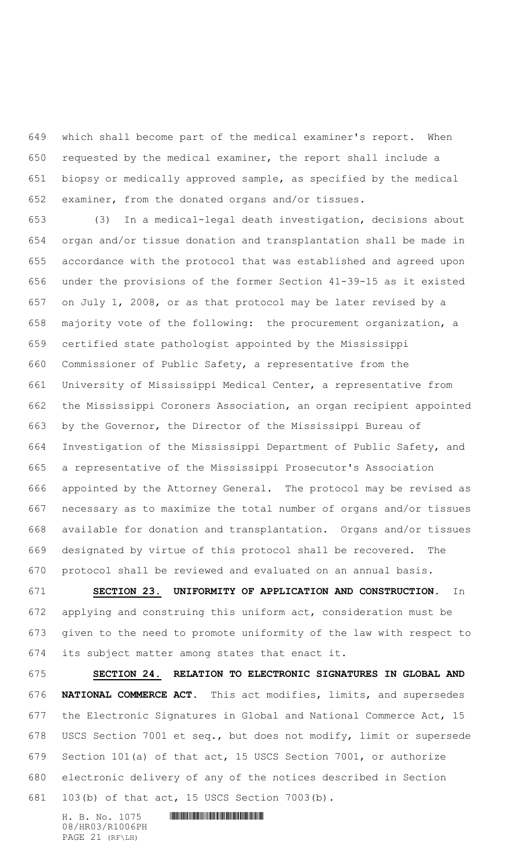which shall become part of the medical examiner's report. When requested by the medical examiner, the report shall include a biopsy or medically approved sample, as specified by the medical examiner, from the donated organs and/or tissues.

 (3) In a medical-legal death investigation, decisions about organ and/or tissue donation and transplantation shall be made in accordance with the protocol that was established and agreed upon under the provisions of the former Section 41-39-15 as it existed on July 1, 2008, or as that protocol may be later revised by a majority vote of the following: the procurement organization, a certified state pathologist appointed by the Mississippi Commissioner of Public Safety, a representative from the University of Mississippi Medical Center, a representative from the Mississippi Coroners Association, an organ recipient appointed by the Governor, the Director of the Mississippi Bureau of Investigation of the Mississippi Department of Public Safety, and a representative of the Mississippi Prosecutor's Association appointed by the Attorney General. The protocol may be revised as necessary as to maximize the total number of organs and/or tissues available for donation and transplantation. Organs and/or tissues designated by virtue of this protocol shall be recovered. The protocol shall be reviewed and evaluated on an annual basis.

 **SECTION 23. UNIFORMITY OF APPLICATION AND CONSTRUCTION.** In applying and construing this uniform act, consideration must be given to the need to promote uniformity of the law with respect to its subject matter among states that enact it.

 **SECTION 24. RELATION TO ELECTRONIC SIGNATURES IN GLOBAL AND NATIONAL COMMERCE ACT.** This act modifies, limits, and supersedes the Electronic Signatures in Global and National Commerce Act, 15 USCS Section 7001 et seq., but does not modify, limit or supersede Section 101(a) of that act, 15 USCS Section 7001, or authorize electronic delivery of any of the notices described in Section 103(b) of that act, 15 USCS Section 7003(b).

 $H. B. No. 1075$  . HINDING PHOTOGRAPH  $H. B. N \circ A$ 08/HR03/R1006PH PAGE 21 (RF\LH)